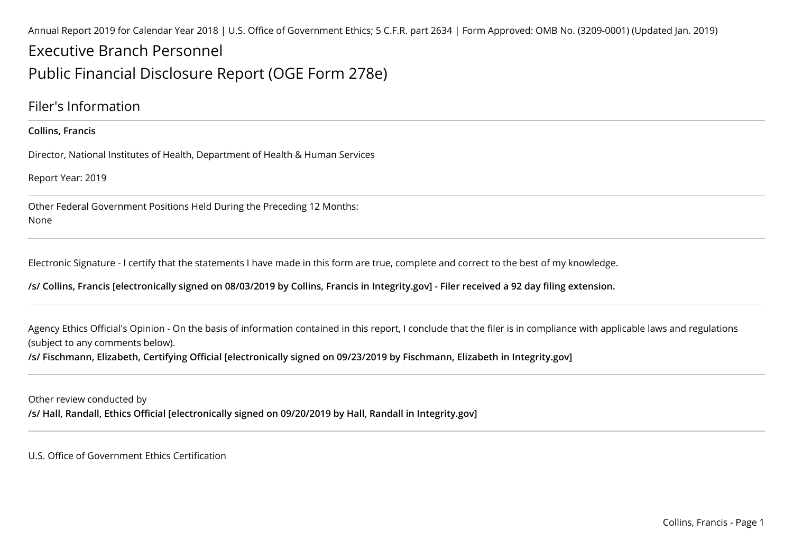Annual Report 2019 for Calendar Year 2018 | U.S. Office of Government Ethics; 5 C.F.R. part 2634 | Form Approved: OMB No. (3209-0001) (Updated Jan. 2019)

# Executive Branch PersonnelPublic Financial Disclosure Report (OGE Form 278e)

### Filer's Information

#### **Collins, Francis**

Director, National Institutes of Health, Department of Health & Human Services

Report Year: 2019

Other Federal Government Positions Held During the Preceding 12 Months:None

Electronic Signature - I certify that the statements I have made in this form are true, complete and correct to the best of my knowledge.

**/s/ Collins, Francis [electronically signed on 08/03/2019 by Collins, Francis in Integrity.gov] - Filer received a 92 day filing extension.**

Agency Ethics Official's Opinion - On the basis of information contained in this report, I conclude that the filer is in compliance with applicable laws and regulations (subject to any comments below).

**/s/ Fischmann, Elizabeth, Certifying Official [electronically signed on 09/23/2019 by Fischmann, Elizabeth in Integrity.gov]**

Other review conducted by**/s/ Hall, Randall, Ethics Official [electronically signed on 09/20/2019 by Hall, Randall in Integrity.gov]**

U.S. Office of Government Ethics Certification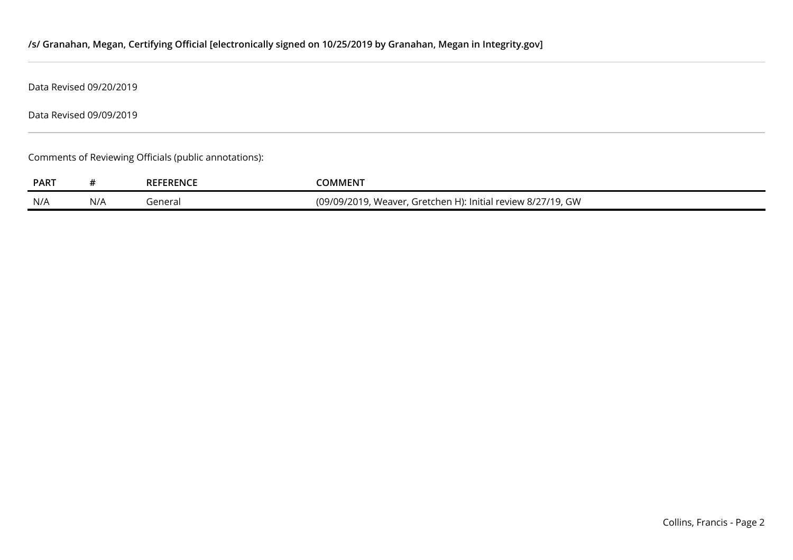### **/s/ Granahan, Megan, Certifying Official [electronically signed on 10/25/2019 by Granahan, Megan in Integrity.gov]**

Data Revised 09/20/2019

Data Revised 09/09/2019

Comments of Reviewing Officials (public annotations):

| <b>PART</b> |     | <b>REFERENCE</b> | :OMMENT                                                                             |
|-------------|-----|------------------|-------------------------------------------------------------------------------------|
|             |     |                  |                                                                                     |
| N/A         | N/A | enera            | 12011<br>, Weaver, Gretchen H): Initial review 8/27/19, GW<br><u>19/09/2</u><br>'ZU |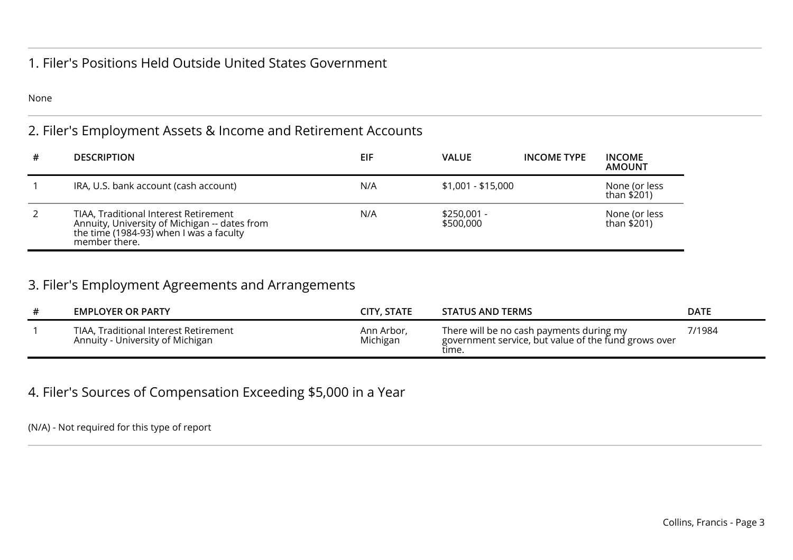### 1. Filer's Positions Held Outside United States Government

None

## 2. Filer's Employment Assets & Income and Retirement Accounts

| # | <b>DESCRIPTION</b>                                                                                                                                 | EIF | <b>VALUE</b>              | <b>INCOME TYPE</b> | <b>INCOME</b><br><b>AMOUNT</b> |
|---|----------------------------------------------------------------------------------------------------------------------------------------------------|-----|---------------------------|--------------------|--------------------------------|
|   | IRA, U.S. bank account (cash account)                                                                                                              | N/A | \$1,001 - \$15,000        |                    | None (or less<br>than \$201)   |
|   | TIAA, Traditional Interest Retirement<br>Annuity, University of Michigan -- dates from<br>the time (1984-93) when I was a faculty<br>member there. | N/A | $$250,001 -$<br>\$500,000 |                    | None (or less<br>than \$201)   |

## 3. Filer's Employment Agreements and Arrangements

| <b>EMPLOYER OR PARTY</b>                                                  | <b>CITY, STATE</b>     | <b>STATUS AND TERMS</b>                                                                                   | DATE   |
|---------------------------------------------------------------------------|------------------------|-----------------------------------------------------------------------------------------------------------|--------|
| TIAA, Traditional Interest Retirement<br>Annuity - University of Michigan | Ann Arbor,<br>Michigan | There will be no cash payments during my<br>government service, but value of the fund grows over<br>time. | 7/1984 |

### 4. Filer's Sources of Compensation Exceeding \$5,000 in a Year

(N/A) - Not required for this type of report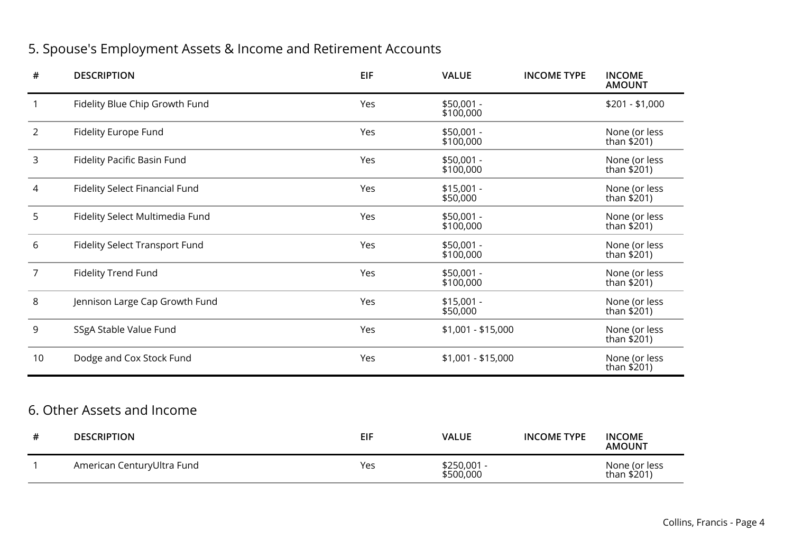## 5. Spouse's Employment Assets & Income and Retirement Accounts

| $\#$           | <b>DESCRIPTION</b>                    | <b>EIF</b> | <b>VALUE</b>             | <b>INCOME TYPE</b> | <b>INCOME</b><br><b>AMOUNT</b> |
|----------------|---------------------------------------|------------|--------------------------|--------------------|--------------------------------|
| $\mathbf{1}$   | Fidelity Blue Chip Growth Fund        | Yes        | \$50,001 -<br>\$100,000  |                    | $$201 - $1,000$                |
| $\overline{2}$ | <b>Fidelity Europe Fund</b>           | Yes        | \$50,001 -<br>\$100,000  |                    | None (or less<br>than $$201)$  |
| 3              | Fidelity Pacific Basin Fund           | Yes        | \$50,001 -<br>\$100,000  |                    | None (or less<br>than \$201)   |
| 4              | <b>Fidelity Select Financial Fund</b> | Yes        | $$15,001 -$<br>\$50,000  |                    | None (or less<br>than $$201)$  |
| 5              | Fidelity Select Multimedia Fund       | Yes        | \$50,001 -<br>\$100,000  |                    | None (or less<br>than \$201)   |
| 6              | <b>Fidelity Select Transport Fund</b> | Yes        | \$50,001 -<br>\$100,000  |                    | None (or less<br>than \$201)   |
| $\overline{7}$ | <b>Fidelity Trend Fund</b>            | Yes        | \$50,001 -<br>\$100,000  |                    | None (or less<br>than \$201)   |
| 8              | Jennison Large Cap Growth Fund        | Yes        | $$15,001 -$<br>\$50,000  |                    | None (or less<br>than \$201)   |
| 9              | SSgA Stable Value Fund                | Yes        | \$1,001 - \$15,000       |                    | None (or less<br>than \$201)   |
| 10             | Dodge and Cox Stock Fund              | Yes        | $$1,001 - $15,000$       |                    | None (or less<br>than \$201)   |
|                |                                       |            |                          |                    |                                |
|                | 6. Other Assets and Income            |            |                          |                    |                                |
| #              | <b>DESCRIPTION</b>                    | <b>EIF</b> | <b>VALUE</b>             | <b>INCOME TYPE</b> | <b>INCOME</b><br><b>AMOUNT</b> |
| $\mathbf{1}$   | American CenturyUltra Fund            | Yes        | \$250,001 -<br>\$500,000 |                    | None (or less<br>than \$201)   |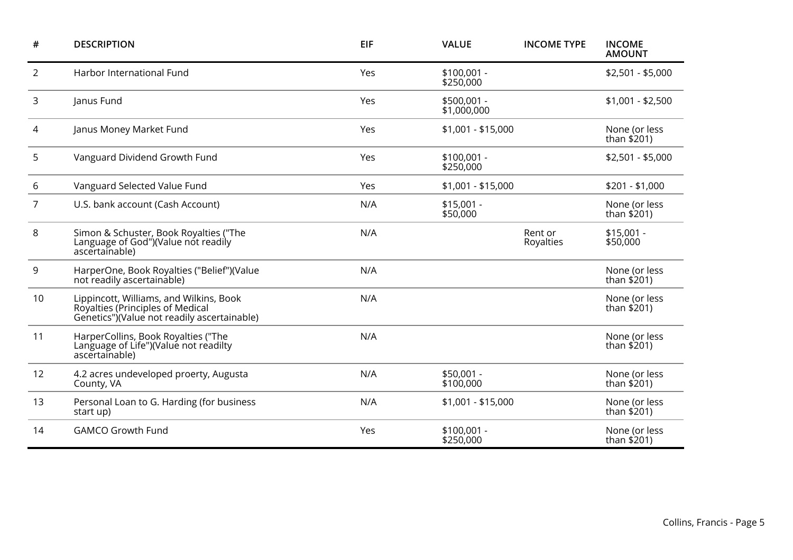| $\#$ | <b>DESCRIPTION</b>                                                                                                         | <b>EIF</b> | <b>VALUE</b>                | <b>INCOME TYPE</b>   | <b>INCOME</b><br><b>AMOUNT</b> |
|------|----------------------------------------------------------------------------------------------------------------------------|------------|-----------------------------|----------------------|--------------------------------|
| 2    | Harbor International Fund                                                                                                  | Yes        | $$100,001 -$<br>\$250,000   |                      | $$2,501 - $5,000$              |
| 3    | Janus Fund                                                                                                                 | Yes        | $$500,001 -$<br>\$1,000,000 |                      | $$1,001 - $2,500$              |
| 4    | Janus Money Market Fund                                                                                                    | Yes        | $$1,001 - $15,000$          |                      | None (or less<br>than $$201$ ) |
| 5    | Vanguard Dividend Growth Fund                                                                                              | Yes        | $$100,001 -$<br>\$250,000   |                      | $$2,501 - $5,000$              |
| 6    | Vanguard Selected Value Fund                                                                                               | Yes        | $$1,001 - $15,000$          |                      | $$201 - $1,000$                |
| 7    | U.S. bank account (Cash Account)                                                                                           | N/A        | $$15,001 -$<br>\$50,000     |                      | None (or less<br>than \$201)   |
| 8    | Simon & Schuster, Book Royalties ("The<br>Language of God")(Value not readily<br>ascertainable)                            | N/A        |                             | Rent or<br>Royalties | $$15,001 -$<br>\$50,000        |
| 9    | HarperOne, Book Royalties ("Belief")(Value<br>not readily ascertainable)                                                   | N/A        |                             |                      | None (or less<br>than \$201)   |
| 10   | Lippincott, Williams, and Wilkins, Book<br>Royalties (Principles of Medical<br>Genetics")(Value not readily ascertainable) | N/A        |                             |                      | None (or less<br>than \$201)   |
| 11   | HarperCollins, Book Royalties ("The<br>Language of Life")(Value not readilty<br>ascertainable)                             | N/A        |                             |                      | None (or less<br>than \$201)   |
| 12   | 4.2 acres undeveloped proerty, Augusta<br>County, VA                                                                       | N/A        | $$50,001 -$<br>\$100,000    |                      | None (or less<br>than $$201)$  |
| 13   | Personal Loan to G. Harding (for business<br>start up)                                                                     | N/A        | \$1,001 - \$15,000          |                      | None (or less<br>than $$201)$  |
| 14   | <b>GAMCO Growth Fund</b>                                                                                                   | Yes        | $$100,001 -$<br>\$250,000   |                      | None (or less<br>than $$201)$  |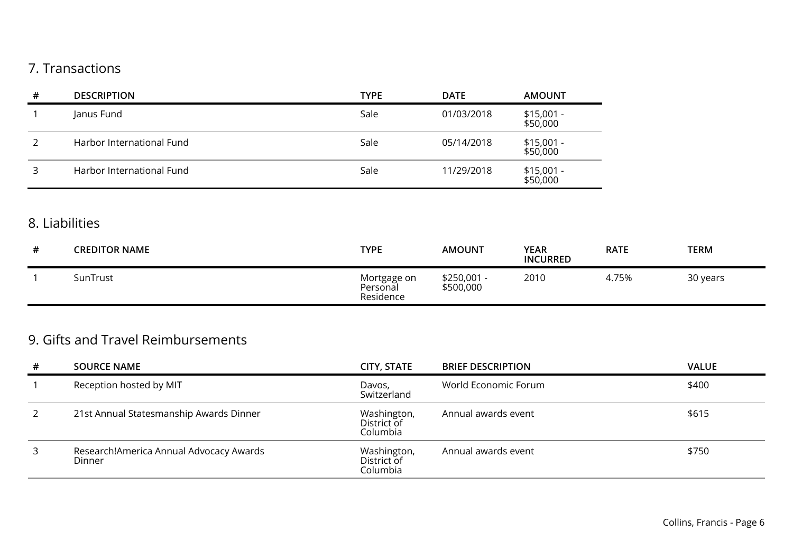## 7. Transactions

| # | <b>DESCRIPTION</b>        | <b>TYPE</b> | <b>DATE</b> | <b>AMOUNT</b>           |
|---|---------------------------|-------------|-------------|-------------------------|
|   | Janus Fund                | Sale        | 01/03/2018  | $$15,001 -$<br>\$50,000 |
|   | Harbor International Fund | Sale        | 05/14/2018  | \$15,001 -<br>\$50,000  |
|   | Harbor International Fund | Sale        | 11/29/2018  | $$15,001 -$<br>\$50,000 |

## 8. Liabilities

| # | <b>CREDITOR NAME</b> | <b>TYPE</b>                          | <b>AMOUNT</b>            | <b>YEAR</b><br><b>INCURRED</b> | <b>RATE</b> | <b>TERM</b> |
|---|----------------------|--------------------------------------|--------------------------|--------------------------------|-------------|-------------|
|   | SunTrust             | Mortgage on<br>Personal<br>Residence | \$250,001 -<br>\$500,000 | 2010                           | 4.75%       | 30 years    |

## 9. Gifts and Travel Reimbursements

| # | <b>SOURCE NAME</b>                                | <b>CITY, STATE</b>                     | <b>BRIEF DESCRIPTION</b> | <b>VALUE</b> |
|---|---------------------------------------------------|----------------------------------------|--------------------------|--------------|
|   | Reception hosted by MIT                           | Davos,<br>Switzerland                  | World Economic Forum     | \$400        |
|   | 21st Annual Statesmanship Awards Dinner           | Washington,<br>District of<br>Columbia | Annual awards event      | \$615        |
| 3 | Research!America Annual Advocacy Awards<br>Dinner | Washington,<br>District of<br>Columbia | Annual awards event      | \$750        |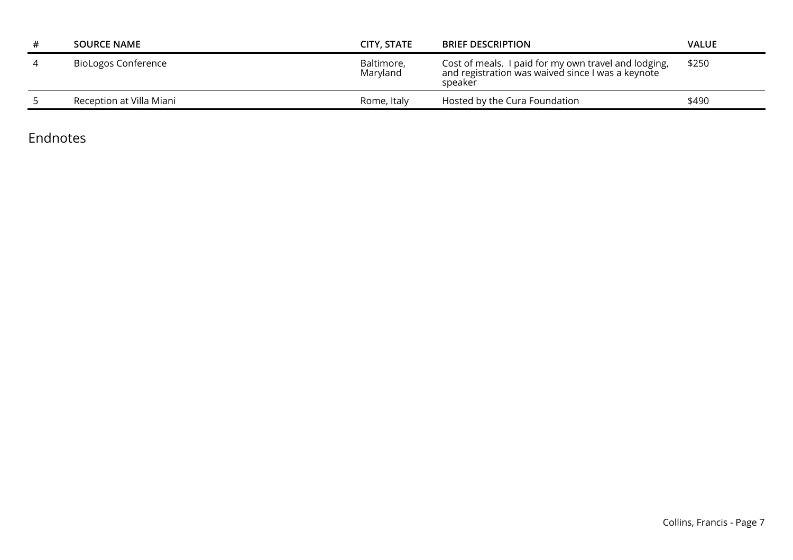| <b>SOURCE NAME</b>         | CITY, STATE            | <b>BRIEF DESCRIPTION</b>                                                                                             | VALUE |
|----------------------------|------------------------|----------------------------------------------------------------------------------------------------------------------|-------|
| <b>BioLogos Conference</b> | Baltimore,<br>Maryland | Cost of meals. I paid for my own travel and lodging,<br>and registration was waived since I was a keynote<br>speaker | \$250 |
| Reception at Villa Miani   | Rome, Italy            | Hosted by the Cura Foundation                                                                                        | \$490 |

Endnotes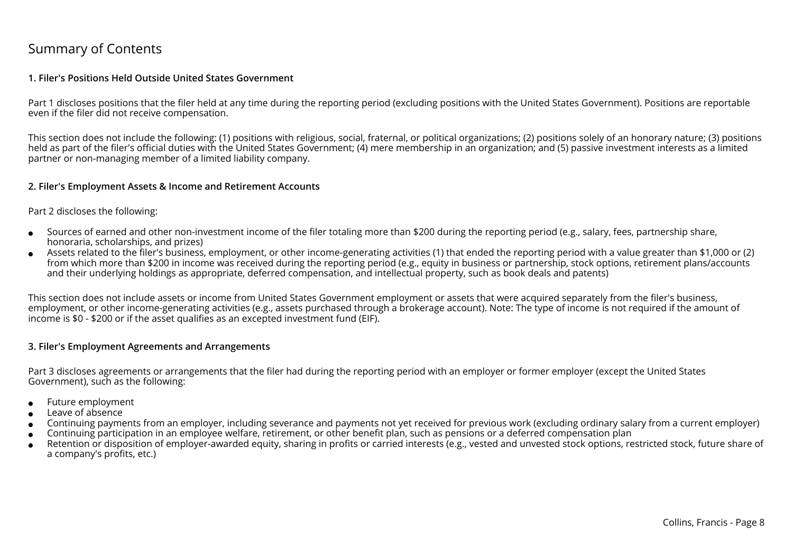## Summary of Contents

#### **1. Filer's Positions Held Outside United States Government**

Part 1 discloses positions that the filer held at any time during the reporting period (excluding positions with the United States Government). Positions are reportableeven if the filer did not receive compensation.

This section does not include the following: (1) positions with religious, social, fraternal, or political organizations; (2) positions solely of an honorary nature; (3) positionsheld as part of the filer's official duties with the United States Government; (4) mere membership in an organization; and (5) passive investment interests as a limitedpartner or non-managing member of a limited liability company.

#### **2. Filer's Employment Assets & Income and Retirement Accounts**

#### Part 2 discloses the following:

- ●Sources of earned and other non-investment income of the filer totaling more than \$200 during the reporting period (e.g., salary, fees, partnership share,honoraria, scholarships, and prizes)
- ● Assets related to the filer's business, employment, or other income-generating activities (1) that ended the reporting period with a value greater than \$1,000 or (2) from which more than \$200 in income was received during the reporting period (e.g., equity in business or partnership, stock options, retirement plans/accountsand their underlying holdings as appropriate, deferred compensation, and intellectual property, such as book deals and patents)

This section does not include assets or income from United States Government employment or assets that were acquired separately from the filer's business, employment, or other income-generating activities (e.g., assets purchased through a brokerage account). Note: The type of income is not required if the amount ofincome is \$0 - \$200 or if the asset qualifies as an excepted investment fund (EIF).

#### **3. Filer's Employment Agreements and Arrangements**

Part 3 discloses agreements or arrangements that the filer had during the reporting period with an employer or former employer (except the United StatesGovernment), such as the following:

- ●Future employment
- ●Leave of absence
- ●Continuing payments from an employer, including severance and payments not yet received for previous work (excluding ordinary salary from a current employer)
- ●Continuing participation in an employee welfare, retirement, or other benefit plan, such as pensions or a deferred compensation plan
- ● Retention or disposition of employer-awarded equity, sharing in profits or carried interests (e.g., vested and unvested stock options, restricted stock, future share ofa company's profits, etc.)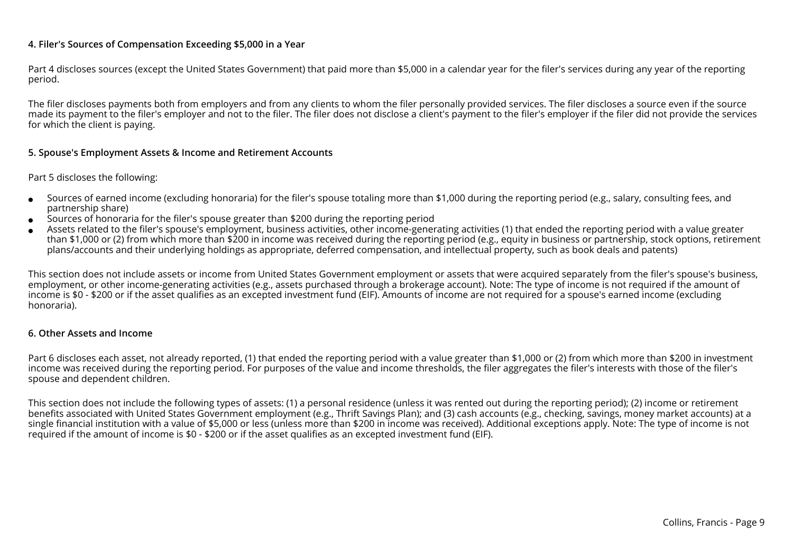#### **4. Filer's Sources of Compensation Exceeding \$5,000 in a Year**

Part 4 discloses sources (except the United States Government) that paid more than \$5,000 in a calendar year for the filer's services during any year of the reportingperiod.

The filer discloses payments both from employers and from any clients to whom the filer personally provided services. The filer discloses a source even if the source made its payment to the filer's employer and not to the filer. The filer does not disclose a client's payment to the filer's employer if the filer did not provide the servicesfor which the client is paying.

#### **5. Spouse's Employment Assets & Income and Retirement Accounts**

#### Part 5 discloses the following:

- ●Sources of earned income (excluding honoraria) for the filer's spouse totaling more than \$1,000 during the reporting period (e.g., salary, consulting fees, andpartnership share)
- ●Sources of honoraria for the filer's spouse greater than \$200 during the reporting period
- ● Assets related to the filer's spouse's employment, business activities, other income-generating activities (1) that ended the reporting period with a value greater than \$1,000 or (2) from which more than \$200 in income was received during the reporting period (e.g., equity in business or partnership, stock options, retirementplans/accounts and their underlying holdings as appropriate, deferred compensation, and intellectual property, such as book deals and patents)

This section does not include assets or income from United States Government employment or assets that were acquired separately from the filer's spouse's business,employment, or other income-generating activities (e.g., assets purchased through a brokerage account). Note: The type of income is not required if the amount ofincome is \$0 - \$200 or if the asset qualifies as an excepted investment fund (EIF). Amounts of income are not required for a spouse's earned income (excludinghonoraria).

#### **6. Other Assets and Income**

Part 6 discloses each asset, not already reported, (1) that ended the reporting period with a value greater than \$1,000 or (2) from which more than \$200 in investmentincome was received during the reporting period. For purposes of the value and income thresholds, the filer aggregates the filer's interests with those of the filer'sspouse and dependent children.

This section does not include the following types of assets: (1) a personal residence (unless it was rented out during the reporting period); (2) income or retirement benefits associated with United States Government employment (e.g., Thrift Savings Plan); and (3) cash accounts (e.g., checking, savings, money market accounts) at a single financial institution with a value of \$5,000 or less (unless more than \$200 in income was received). Additional exceptions apply. Note: The type of income is notrequired if the amount of income is \$0 - \$200 or if the asset qualifies as an excepted investment fund (EIF).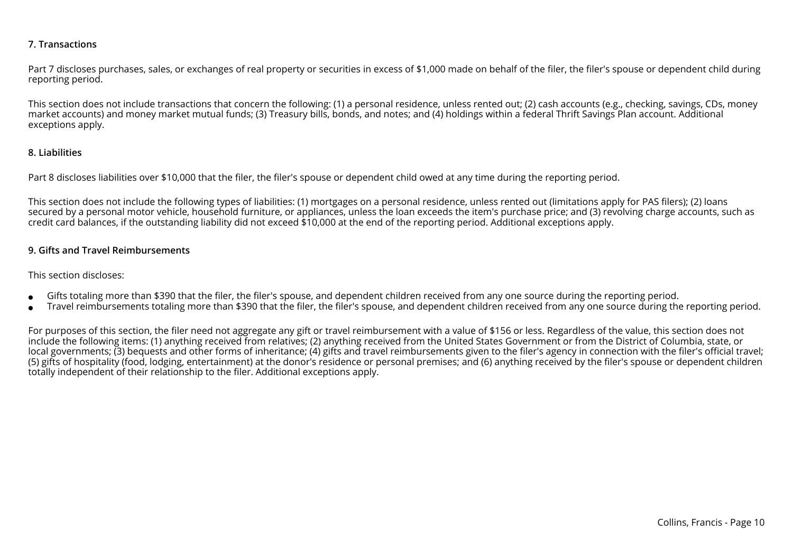#### **7. Transactions**

Part 7 discloses purchases, sales, or exchanges of real property or securities in excess of \$1,000 made on behalf of the filer, the filer's spouse or dependent child during reporting period.

This section does not include transactions that concern the following: (1) a personal residence, unless rented out; (2) cash accounts (e.g., checking, savings, CDs, moneymarket accounts) and money market mutual funds; (3) Treasury bills, bonds, and notes; and (4) holdings within a federal Thrift Savings Plan account. Additionalexceptions apply.

#### **8. Liabilities**

Part 8 discloses liabilities over \$10,000 that the filer, the filer's spouse or dependent child owed at any time during the reporting period.

This section does not include the following types of liabilities: (1) mortgages on a personal residence, unless rented out (limitations apply for PAS filers); (2) loans secured by a personal motor vehicle, household furniture, or appliances, unless the loan exceeds the item's purchase price; and (3) revolving charge accounts, such ascredit card balances, if the outstanding liability did not exceed \$10,000 at the end of the reporting period. Additional exceptions apply.

#### **9. Gifts and Travel Reimbursements**

#### This section discloses:

- ●Gifts totaling more than \$390 that the filer, the filer's spouse, and dependent children received from any one source during the reporting period.
- ●Travel reimbursements totaling more than \$390 that the filer, the filer's spouse, and dependent children received from any one source during the reporting period.

For purposes of this section, the filer need not aggregate any gift or travel reimbursement with a value of \$156 or less. Regardless of the value, this section does not include the following items: (1) anything received from relatives; (2) anything received from the United States Government or from the District of Columbia, state, or local governments; (3) bequests and other forms of inheritance; (4) gifts and travel reimbursements given to the filer's agency in connection with the filer's official travel; (5) gifts of hospitality (food, lodging, entertainment) at the donor's residence or personal premises; and (6) anything received by the filer's spouse or dependent childrentotally independent of their relationship to the filer. Additional exceptions apply.